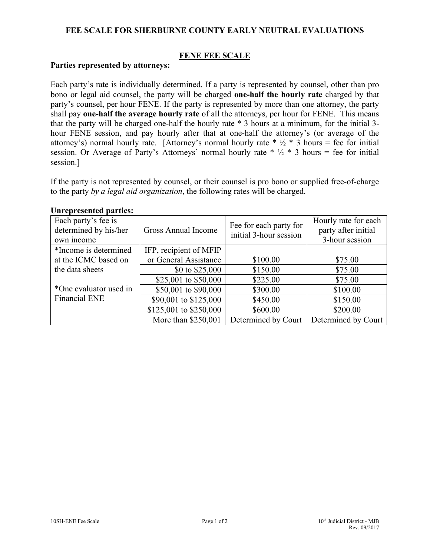# **FEE SCALE FOR SHERBURNE COUNTY EARLY NEUTRAL EVALUATIONS**

# **FENE FEE SCALE**

### **Parties represented by attorneys:**

Each party's rate is individually determined. If a party is represented by counsel, other than pro bono or legal aid counsel, the party will be charged **one-half the hourly rate** charged by that party's counsel, per hour FENE. If the party is represented by more than one attorney, the party shall pay **one-half the average hourly rate** of all the attorneys, per hour for FENE. This means that the party will be charged one-half the hourly rate \* 3 hours at a minimum, for the initial 3 hour FENE session, and pay hourly after that at one-half the attorney's (or average of the attorney's) normal hourly rate. [Attorney's normal hourly rate  $* 1/2 * 3$  hours = fee for initial session. Or Average of Party's Attorneys' normal hourly rate  $* 1/2 * 3$  hours = fee for initial session.]

If the party is not represented by counsel, or their counsel is pro bono or supplied free-of-charge to the party *by a legal aid organization*, the following rates will be charged.

| Each party's fee is<br>determined by his/her<br>own income | <b>Gross Annual Income</b> | Fee for each party for<br>initial 3-hour session | Hourly rate for each<br>party after initial<br>3-hour session |
|------------------------------------------------------------|----------------------------|--------------------------------------------------|---------------------------------------------------------------|
| *Income is determined                                      | IFP, recipient of MFIP     |                                                  |                                                               |
| at the ICMC based on                                       | or General Assistance      | \$100.00                                         | \$75.00                                                       |
| the data sheets                                            | \$0 to \$25,000            | \$150.00                                         | \$75.00                                                       |
|                                                            | \$25,001 to \$50,000       | \$225.00                                         | \$75.00                                                       |
| *One evaluator used in                                     | \$50,001 to \$90,000       | \$300.00                                         | \$100.00                                                      |
| <b>Financial ENE</b>                                       | \$90,001 to \$125,000      | \$450.00                                         | \$150.00                                                      |
|                                                            | \$125,001 to \$250,000     | \$600.00                                         | \$200.00                                                      |
|                                                            | More than \$250,001        | Determined by Court                              | Determined by Court                                           |

### **Unrepresented parties:**